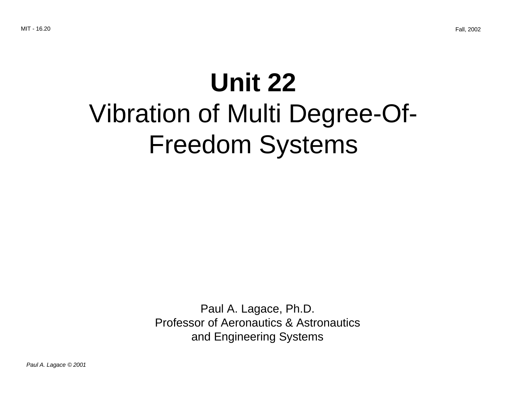# **Unit 22** Vibration of Multi Degree-Of-Freedom Systems

Paul A. Lagace, Ph.D. Professor of Aeronautics & Astronautics and Engineering Systems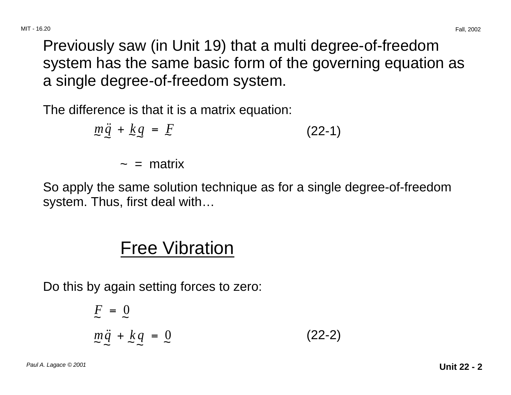Previously saw (in Unit 19) that a multi degree-of-freedom system has the same basic form of the governing equation as a single degree-of-freedom system.

The difference is that it is a matrix equation:

$$
m\ddot{q} + kq = E \tag{22-1}
$$

 $\sim$  = matrix

So apply the same solution technique as for a single degree-of-freedom system. Thus, first deal with…

## Free Vibration

Do this by again setting forces to zero:

$$
F = 0
$$
  

$$
m\ddot{q} + kq = 0
$$
 (22-2)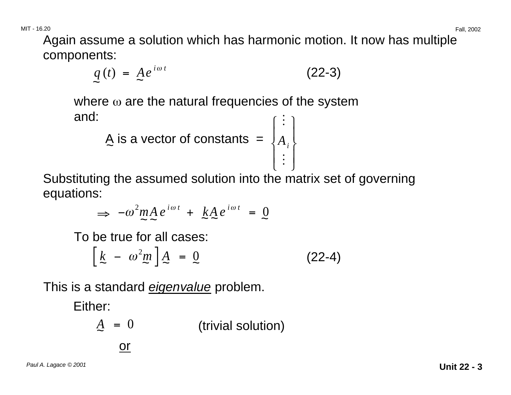Again assume a solution which has harmonic motion. It now has multiple components:

$$
q(t) = A e^{i\omega t} \tag{22-3}
$$

where  $\omega$  are the natural frequencies of the system

and:  
\n
$$
\underline{A} \text{ is a vector of constants } = \begin{bmatrix} \vdots \\ A_i \\ \vdots \end{bmatrix}
$$

Substituting the assumed solution into the matrix set of governing equations:

$$
\Rightarrow -\omega^2 m A e^{i\omega t} + k A e^{i\omega t} = 0
$$

To be true for all cases:

or

$$
\left[\frac{k}{2} - \omega^2 m\right]A = 0 \tag{22-4}
$$

This is a standard *eigenvalue* problem.

Either:

$$
A = 0
$$
 (trivial solution)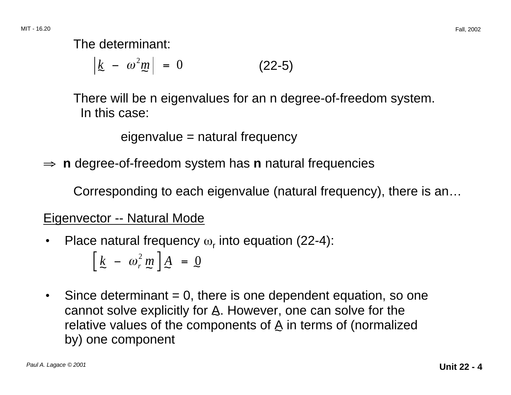The determinant:

 $k - \omega^2 m$  = 0 (22-5)

There will be n eigenvalues for an n degree-of-freedom system. In this case:

eigenvalue = natural frequency

<sup>⇒</sup> **<sup>n</sup>** degree-of-freedom system has **n** natural frequencies

Corresponding to each eigenvalue (natural frequency), there is an…

#### Eigenvector -- Natural Mode

Place natural frequency  $\omega_r$  into equation (22-4):

$$
\left[\frac{k}{2} - \omega_r^2 m\right]A = 0
$$

 $\bullet$  Since determinant = 0, there is one dependent equation, so one cannot solve explicitly for  $A$ . However, one can solve for the relative values of the components of  $A$  in terms of (normalized by) one component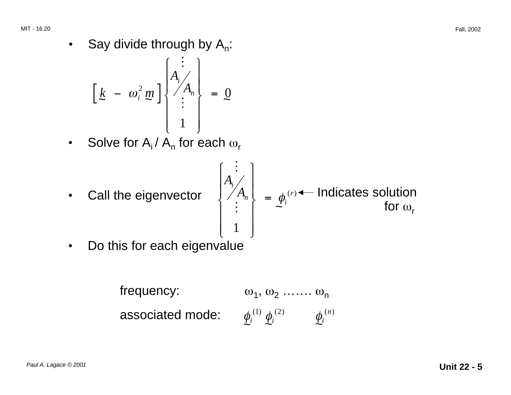• Say divide through by  $A_n$ :

$$
\left[\begin{array}{cc} k & - & \omega_i^2 \, m \\ k & - & \omega_i^2 \, m \\ & \vdots & \vdots \\ & & 1 \end{array}\right] \left\{\begin{array}{c} \vdots \\ A_i \\ \vdots \\ 1 \end{array}\right\} \ = \ \underline{0}
$$

- Solve for  $A_i / A_n$  for each  $\omega_r$
- **Call the eigenvector**  $\begin{cases} A_i \ A_i \end{cases}$ **<br>**  $\begin{bmatrix} A_i \ A_i \end{bmatrix}$

$$
\begin{cases}\nA_i \\
A_n \\
\vdots \\
1\n\end{cases} = \phi_i^{(r)} \leftarrow \text{Indicates solution for } \omega_r
$$

• Do this for each eigenvalue

frequency:  $\omega_1, \omega_2, \ldots, \omega_n$ associated mode:  $\phi^{(1)}_i \, \phi^{(2)}_i \qquad \phi^{(n)}_i$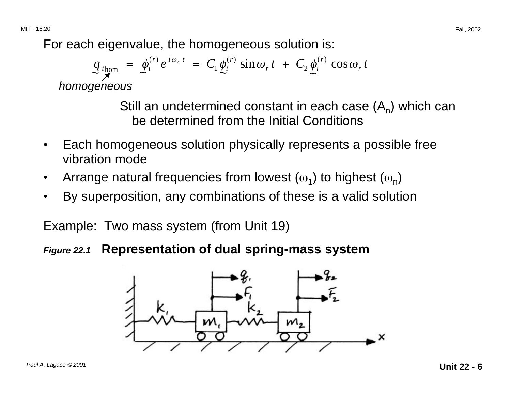For each eigenvalue, the homogeneous solution is:

$$
q_{ihom} = \phi_i^{(r)} e^{i\omega_r t} = C_1 \phi_i^{(r)} \sin \omega_r t + C_2 \phi_i^{(r)} \cos \omega_r t
$$
  
homogeneous

Still an undetermined constant in each case  $(A_n)$  which can be determined from the Initial Conditions

- Each homogeneous solution physically represents a possible free vibration mode
- Arrange natural frequencies from lowest  $(\omega_1)$  to highest  $(\omega_n)$
- By superposition, any combinations of these is a valid solution

Example: Two mass system (from Unit 19)

**Figure 22.1 Representation of dual spring-mass system** 

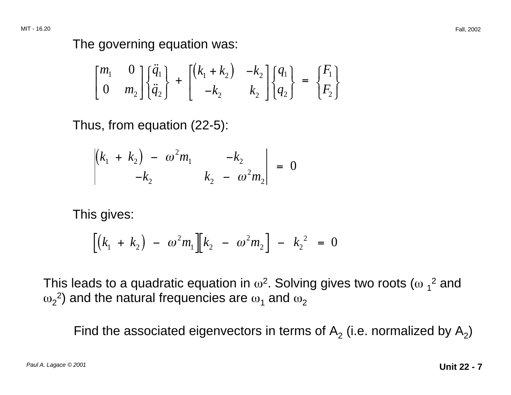The governing equation was:

$$
\begin{bmatrix} m_1 & 0 \\ 0 & m_2 \end{bmatrix} \begin{bmatrix} \ddot{q}_1 \\ \ddot{q}_2 \end{bmatrix} + \begin{bmatrix} (k_1 + k_2) & -k_2 \\ -k_2 & k_2 \end{bmatrix} \begin{bmatrix} q_1 \\ q_2 \end{bmatrix} = \begin{bmatrix} F_1 \\ F_2 \end{bmatrix}
$$

Thus, from equation (22-5):

$$
\begin{vmatrix} (k_1 + k_2) - \omega^2 m_1 & -k_2 \\ -k_2 & k_2 - \omega^2 m_2 \end{vmatrix} = 0
$$

This gives:

$$
\left[ \left( k_1 + k_2 \right) - \omega^2 m_1 \right] \left[ k_2 - \omega^2 m_2 \right] - k_2^2 = 0
$$

This leads to a quadratic equation in  $\omega^2$ . Solving gives two roots ( $\omega_1^2$  and  $\omega_2$ <sup>2</sup>) and the natural frequencies are  $\omega_1$  and  $\omega_2$ 

Find the associated eigenvectors in terms of  $A_2$  (i.e. normalized by  $A_2$ )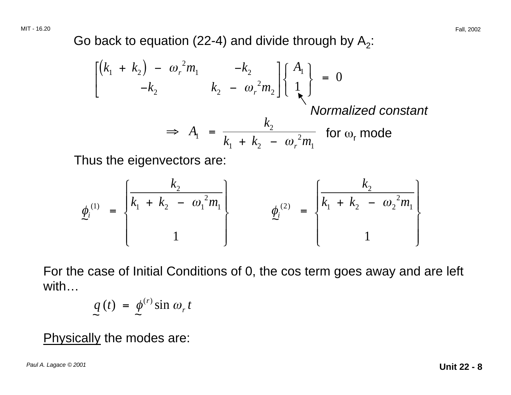Go back to equation (22-4) and divide through by  $A_2$ :

$$
\begin{aligned}\n\begin{bmatrix}\n(k_1 + k_2) - \omega_r^2 m_1 & -k_2 \\
-k_2 & k_2 - \omega_r^2 m_2\n\end{bmatrix}\n\begin{bmatrix}\nA_1 \\
1 \\
\lambda\n\end{bmatrix} = 0\n\end{aligned}
$$
\nNormalized constant

\n
$$
\Rightarrow A_1 = \frac{k_2}{k_1 + k_2 - \omega_r^2 m_1} \text{ for } \omega_r \text{ mode}
$$

Thus the eigenvectors are:

$$
\phi_i^{(1)} = \begin{cases} \frac{k_2}{k_1 + k_2 - \omega_1^2 m_1} \\ 1 \end{cases} \qquad \phi_i^{(2)} = \begin{cases} \frac{k_2}{k_1 + k_2 - \omega_2^2 m_1} \\ 1 \end{cases}
$$

For the case of Initial Conditions of 0, the cos term goes away and are left with…

$$
\mathop{q}\limits_{\sim} (t) = \mathop{\phi}\limits_{\sim}^{(r)} \sin \omega_r t
$$

Physically the modes are: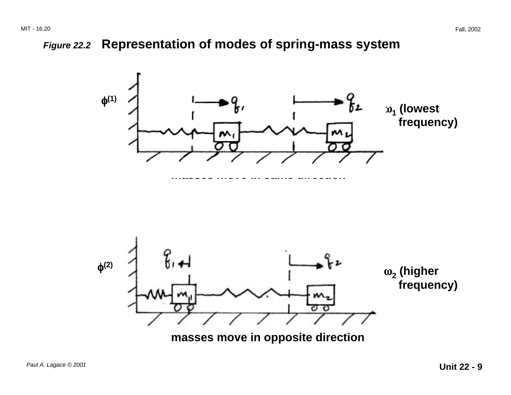#### **Figure 22.2 Representation of modes of spring-mass system**



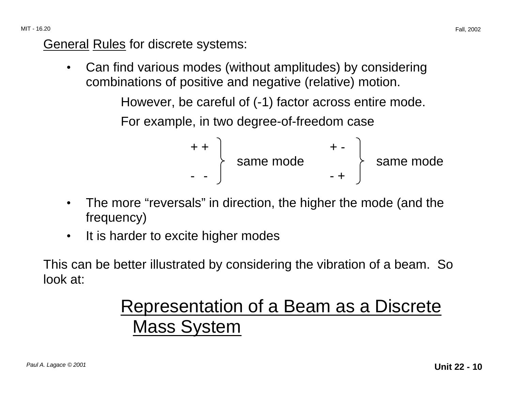General Rules for discrete systems:

• Can find various modes (without amplitudes) by considering combinations of positive and negative (relative) motion.

However, be careful of (-1) factor across entire mode.

For example, in two degree-of-freedom case

$$
\begin{array}{c}\n + + \\
 + \\
 - \\
 - \\
 \end{array}
$$
 same mode\n
$$
\begin{array}{c}\n + - \\
 + \\
 + \\
 \end{array}
$$
 same mode

- The more "reversals" in direction, the higher the mode (and the frequency)
- It is harder to excite higher modes

This can be better illustrated by considering the vibration of a beam. So look at:

## Representation of a Beam as a Discrete Mass System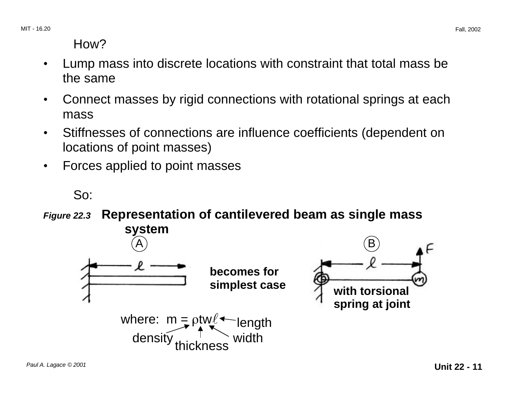How?

- • Lump mass into discrete locations with constraint that total mass be the same
- Connect masses by rigid connections with rotational springs at each mass
- • Stiffnesses of connections are influence coefficients (dependent on locations of point masses)
- Forces applied to point masses

So:

**Figure 22.3 Representation of cantilevered beam as single mass system** 

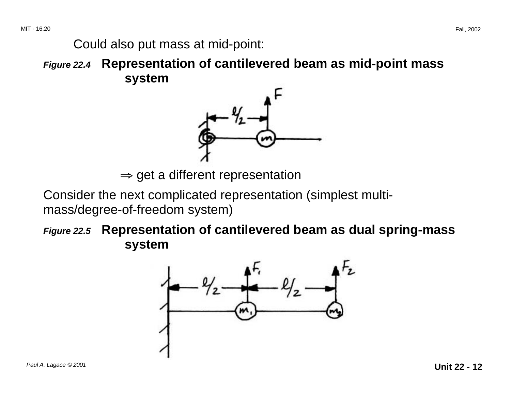Could also put mass at mid-point:

**Figure 22.4 Representation of cantilevered beam as mid-point mass system** 



 $\Rightarrow$  get a different representation

Consider the next complicated representation (simplest multimass/degree-of-freedom system)

**Figure 22.5 Representation of cantilevered beam as dual spring-mass system** 

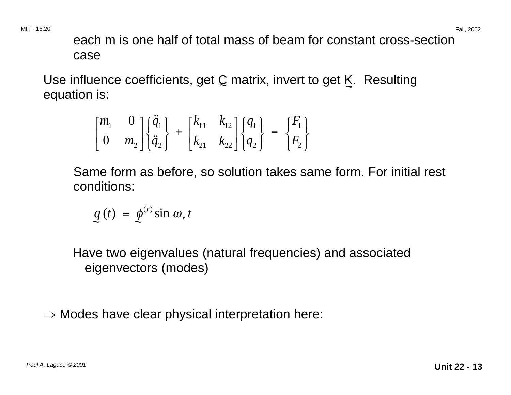each m is one half of total mass of beam for constant cross-section case

Use influence coefficients, get C matrix, invert to get K. Resulting equation is:

$$
\begin{bmatrix} m_1 & 0 \\ 0 & m_2 \end{bmatrix} \begin{bmatrix} \ddot{q}_1 \\ \ddot{q}_2 \end{bmatrix} + \begin{bmatrix} k_{11} & k_{12} \\ k_{21} & k_{22} \end{bmatrix} \begin{bmatrix} q_1 \\ q_2 \end{bmatrix} = \begin{bmatrix} F_1 \\ F_2 \end{bmatrix}
$$

Same form as before, so solution takes same form. For initial rest conditions:

$$
q(t) = \phi^{(r)} \sin \omega_r t
$$

Have two eigenvalues (natural frequencies) and associated eigenvectors (modes)

 $\Rightarrow$  Modes have clear physical interpretation here: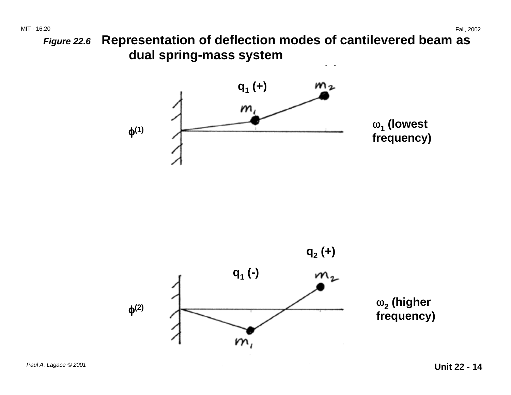**Figure 22.6 Representation of deflection modes of cantilevered beam as dual spring-mass system** 



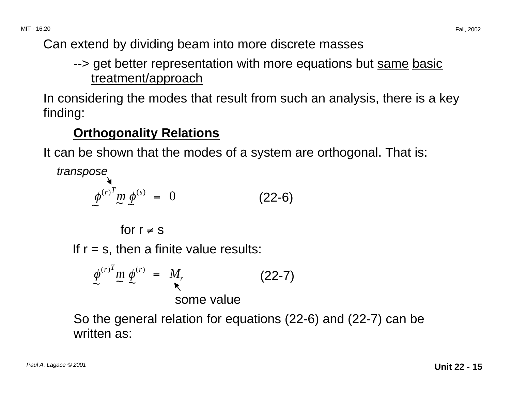Can extend by dividing beam into more discrete masses

## --> get better representation with more equations but same basic treatment/approach

In considering the modes that result from such an analysis, there is a key finding:

## **Orthogonality Relations**

It can be shown that the modes of a system are orthogonal. That is:

transpose

$$
\phi^{(r)^T} m \phi^{(s)} = 0 \qquad (22-6)
$$

for  $r \neq s$ 

If  $r = s$ , then a finite value results:

$$
\phi^{(r)}^{T} m \phi^{(r)} = M_r
$$

So the general relation for equations (22-6) and (22-7) can be written as: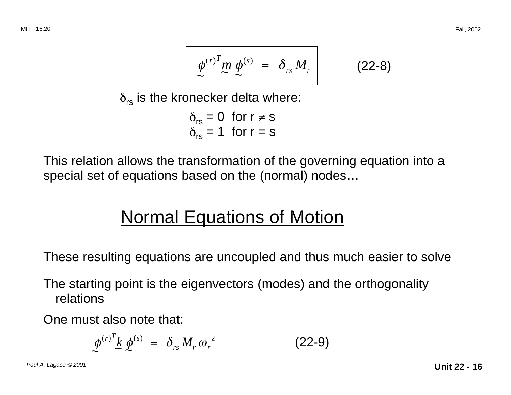$$
\phi^{(r)^T} m \phi^{(s)} = \delta_{rs} M_r \qquad (22-8)
$$

 $\delta_{rs}$  is the kronecker delta where:

$$
\delta_{rs} = 0 \text{ for } r \neq s
$$
  

$$
\delta_{rs} = 1 \text{ for } r = s
$$

This relation allows the transformation of the governing equation into a special set of equations based on the (normal) nodes…

## Normal Equations of Motion

These resulting equations are uncoupled and thus much easier to solve

The starting point is the eigenvectors (modes) and the orthogonality relations

One must also note that:

$$
\phi^{(r)}{}^T k \phi^{(s)} = \delta_{rs} M_r \omega_r^2 \qquad (22-9)
$$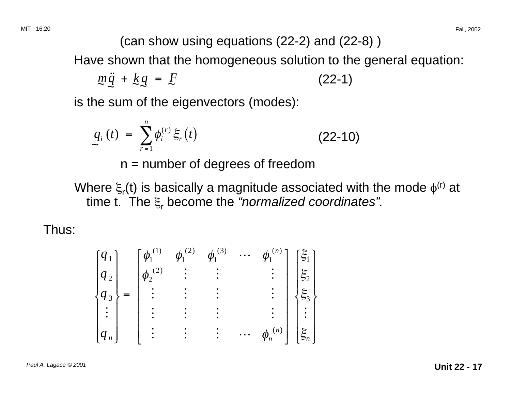(can show using equations (22-2) and (22-8) )

Have shown that the homogeneous solution to the general equation:

$$
m\ddot{q} + kq = F \tag{22-1}
$$

is the sum of the eigenvectors (modes):

$$
q_i(t) = \sum_{r=1}^{n} \phi_i^{(r)} \xi_r(t)
$$
 (22-10)

 $n =$  number of degrees of freedom

Where  $\xi_r(t)$  is basically a magnitude associated with the mode  $\phi^{(r)}$  at time t. The  $\xi$  become the "normalized coordinates".

Thus:

$$
\begin{bmatrix} q_1 \\ q_2 \\ q_3 \\ \vdots \\ q_n \end{bmatrix} = \begin{bmatrix} \phi_1^{(1)} & \phi_1^{(2)} & \phi_1^{(3)} & \cdots & \phi_1^{(n)} \\ \phi_2^{(2)} & \vdots & \vdots & & \vdots \\ \vdots & \vdots & \vdots & & \vdots \\ \vdots & \vdots & \vdots & & \vdots \\ \vdots & \vdots & \vdots & & \vdots \\ \vdots & \vdots & \vdots & & \vdots \\ \vdots & \vdots & \vdots & & \vdots \\ \end{bmatrix} \begin{bmatrix} \xi_1 \\ \xi_2 \\ \xi_3 \\ \vdots \\ \xi_n \end{bmatrix}
$$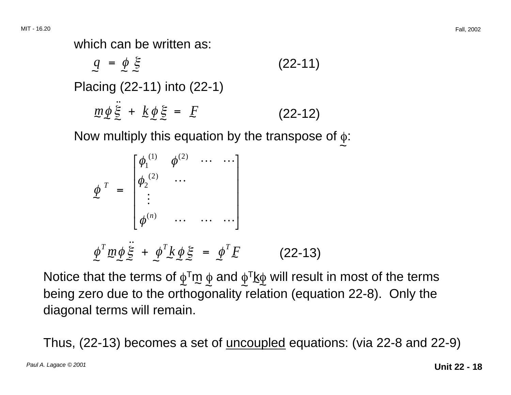which can be written as:

$$
q = \phi \xi
$$
 (22-11)  
Placing (22-11) into (22-1)  

$$
m\phi \ddot{\xi} + k\phi \xi = F
$$
 (22-12)

Now multiply this equation by the transpose of  $\phi$ :

$$
\phi^{T} = \begin{bmatrix}\n\phi_1^{(1)} & \phi^{(2)} & \cdots & \cdots \\
\phi_2^{(2)} & \cdots & & \\
\vdots & & & \\
\phi^{(n)} & \cdots & \cdots & \cdots\n\end{bmatrix}
$$
\n
$$
\phi^{T} m \phi \ddot{\xi} + \phi^{T} k \phi \xi = \phi^{T} E \qquad (22-13)
$$

Notice that the terms of  $\phi^\intercal m$   $\phi$  and  $\phi^\intercal$ k $\phi$  will result in most of the terms  $\phi$ being zero due to the orthogonality relation (equation 22-8). Only the diagonal terms will remain.

Thus, (22-13) becomes a set of uncoupled equations: (via 22-8 and 22-9)

 $\sim$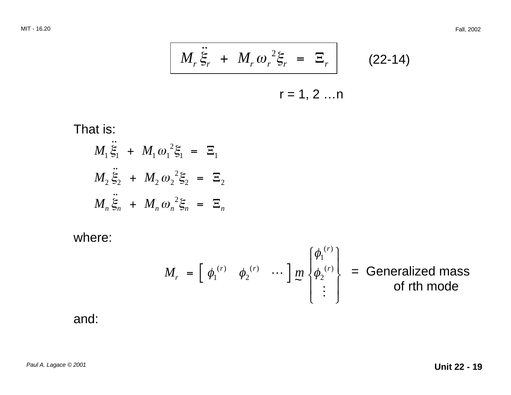$$
M_r \ddot{\xi}_r + M_r \omega_r^2 \xi_r = \Xi_r \qquad (22-14)
$$

 $r = 1, 2 ... n$ 

That is:

$$
M_1 \ddot{\xi}_1 + M_1 \omega_1^2 \xi_1 = \Xi_1
$$
  

$$
M_2 \ddot{\xi}_2 + M_2 \omega_2^2 \xi_2 = \Xi_2
$$
  

$$
M_n \ddot{\xi}_n + M_n \omega_n^2 \xi_n = \Xi_n
$$

where:

$$
M_r = \begin{bmatrix} \phi_1^{(r)} & \phi_2^{(r)} & \cdots \end{bmatrix} \begin{bmatrix} m \\ m \end{bmatrix} \begin{bmatrix} \phi_1^{(r)} \\ \phi_2^{(r)} \end{bmatrix} = \text{Generalized mass} \begin{aligned} \text{of } r \text{th mode} \end{aligned}
$$

and: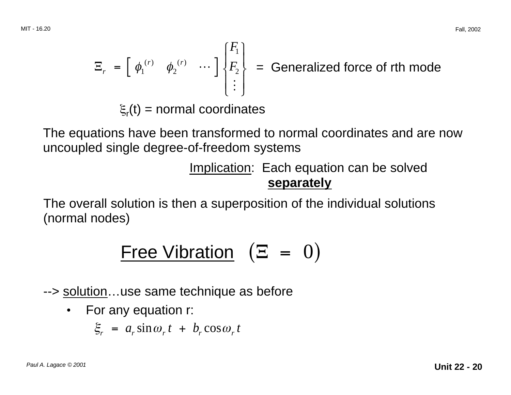$$
\Xi_r = \begin{bmatrix} \phi_1^{(r)} & \phi_2^{(r)} & \cdots \end{bmatrix} \begin{bmatrix} F_1 \\ F_2 \\ \vdots \end{bmatrix}
$$
 = Generalized force of rth mode  
 $\xi_r(t)$  = normal coordinates

The equations have been transformed to normal coordinates and are now uncoupled single degree-of-freedom systems

> Implication: Each equation can be solved **separately**

The overall solution is then a superposition of the individual solutions (normal nodes)

$$
Free \text{Vibration} \quad (\Xi = 0)
$$

--> solution...use same technique as before

• For any equation r:

 $\xi_r = a_r \sin \omega_r t + b_r \cos \omega_r t$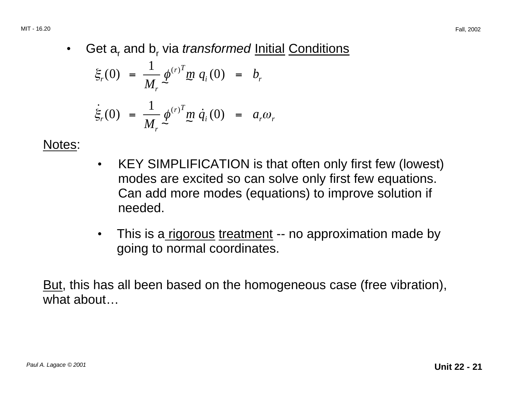• Get a<sub>r</sub> and b<sub>r</sub> via *transformed* Initial Conditions

$$
\xi_r(0) = \frac{1}{M_r} \phi^{(r)^T} m q_i(0) = b_r
$$

$$
\dot{\xi}_r(0) = \frac{1}{M_r} \phi^{(r)^T} m \dot{q}_i(0) = a_r \omega_r
$$

Notes:

- KEY SIMPLIFICATION is that often only first few (lowest) modes are excited so can solve only first few equations. Can add more modes (equations) to improve solution if needed.
- This is a rigorous treatment -- no approximation made by going to normal coordinates.

But, this has all been based on the homogeneous case (free vibration), what about...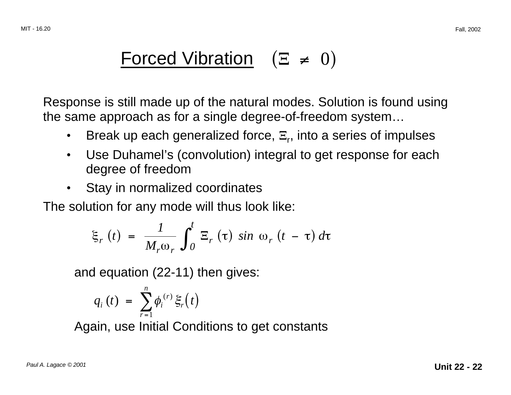# Forced Vibration  $(\Xi \neq 0)$

Response is still made up of the natural modes. Solution is found using the same approach as for a single degree-of-freedom system…

- Break up each generalized force,  $\Xi_r$ , into a series of impulses
- Use Duhamel's (convolution) integral to get response for each degree of freedom
- Stay in normalized coordinates

The solution for any mode will thus look like:

$$
\xi_r(t) = \frac{1}{M_r \omega_r} \int_0^t \Xi_r(\tau) \sin \omega_r(t - \tau) d\tau
$$

and equation (22-11) then gives:

$$
q_i(t) = \sum_{r=1}^n \phi_i^{(r)} \xi_r(t)
$$

Again, use Initial Conditions to get constants